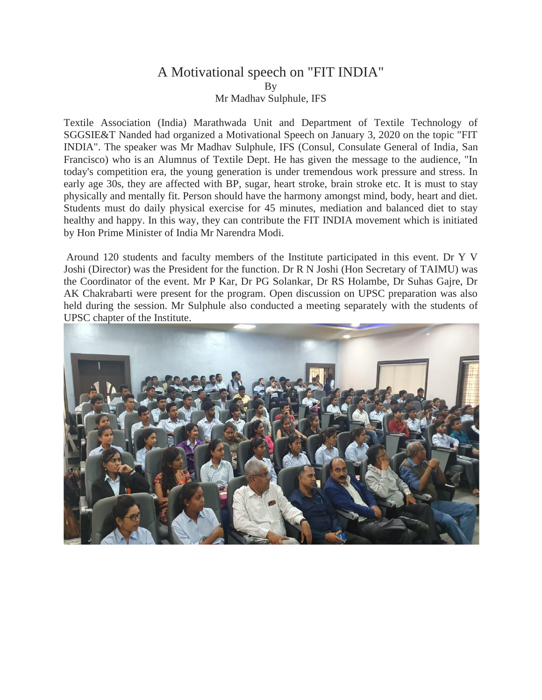## A Motivational speech on "FIT INDIA" By Mr Madhav Sulphule, IFS

Textile Association (India) Marathwada Unit and Department of Textile Technology of SGGSIE&T Nanded had organized a Motivational Speech on January 3, 2020 on the topic "FIT INDIA". The speaker was Mr Madhav Sulphule, IFS (Consul, Consulate General of India, San Francisco) who is an Alumnus of Textile Dept. He has given the message to the audience, "In today's competition era, the young generation is under tremendous work pressure and stress. In early age 30s, they are affected with BP, sugar, heart stroke, brain stroke etc. It is must to stay physically and mentally fit. Person should have the harmony amongst mind, body, heart and diet. Students must do daily physical exercise for 45 minutes, mediation and balanced diet to stay healthy and happy. In this way, they can contribute the FIT INDIA movement which is initiated by Hon Prime Minister of India Mr Narendra Modi.

Around 120 students and faculty members of the Institute participated in this event. Dr Y V Joshi (Director) was the President for the function. Dr R N Joshi (Hon Secretary of TAIMU) was the Coordinator of the event. Mr P Kar, Dr PG Solankar, Dr RS Holambe, Dr Suhas Gajre, Dr AK Chakrabarti were present for the program. Open discussion on UPSC preparation was also held during the session. Mr Sulphule also conducted a meeting separately with the students of UPSC chapter of the Institute.